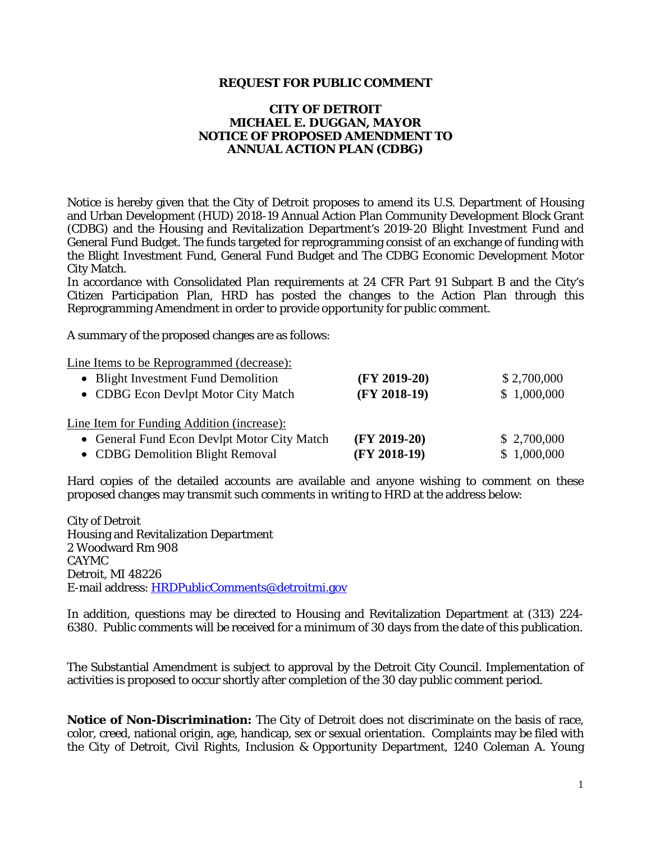## **REQUEST FOR PUBLIC COMMENT**

## **CITY OF DETROIT MICHAEL E. DUGGAN, MAYOR NOTICE OF PROPOSED AMENDMENT TO ANNUAL ACTION PLAN (CDBG)**

Notice is hereby given that the City of Detroit proposes to amend its U.S. Department of Housing and Urban Development (HUD) 2018-19 Annual Action Plan Community Development Block Grant (CDBG) and the Housing and Revitalization Department's 2019-20 Blight Investment Fund and General Fund Budget. The funds targeted for reprogramming consist of an exchange of funding with the Blight Investment Fund, General Fund Budget and The CDBG Economic Development Motor City Match.

In accordance with Consolidated Plan requirements at 24 CFR Part 91 Subpart B and the City's Citizen Participation Plan, HRD has posted the changes to the Action Plan through this Reprogramming Amendment in order to provide opportunity for public comment.

A summary of the proposed changes are as follows:

Line Items to be Reprogrammed (decrease):

| • Blight Investment Fund Demolition<br>• CDBG Econ Devlpt Motor City Match | $(FY 2019-20)$<br>$(FY 2018-19)$ | \$2,700,000<br>\$1,000,000 |
|----------------------------------------------------------------------------|----------------------------------|----------------------------|
| Line Item for Funding Addition (increase):                                 |                                  |                            |
| <b>General Fund Econ Devlpt Motor City Match</b><br>$\bullet$              | $(FY 2019-20)$                   | \$2,700,000                |
| • CDBG Demolition Blight Removal                                           | $(FY 2018-19)$                   | \$1,000,000                |

Hard copies of the detailed accounts are available and anyone wishing to comment on these proposed changes may transmit such comments in writing to HRD at the address below:

City of Detroit Housing and Revitalization Department 2 Woodward Rm 908 CAYMC Detroit, MI 48226 E-mail address: HRDPublicComments@detroitmi.gov

In addition, questions may be directed to Housing and Revitalization Department at (313) 224- 6380. Public comments will be received for a minimum of 30 days from the date of this publication.

The Substantial Amendment is subject to approval by the Detroit City Council. Implementation of activities is proposed to occur shortly after completion of the 30 day public comment period.

**Notice of Non-Discrimination:** The City of Detroit does not discriminate on the basis of race, color, creed, national origin, age, handicap, sex or sexual orientation. Complaints may be filed with the City of Detroit, Civil Rights, Inclusion & Opportunity Department, 1240 Coleman A. Young